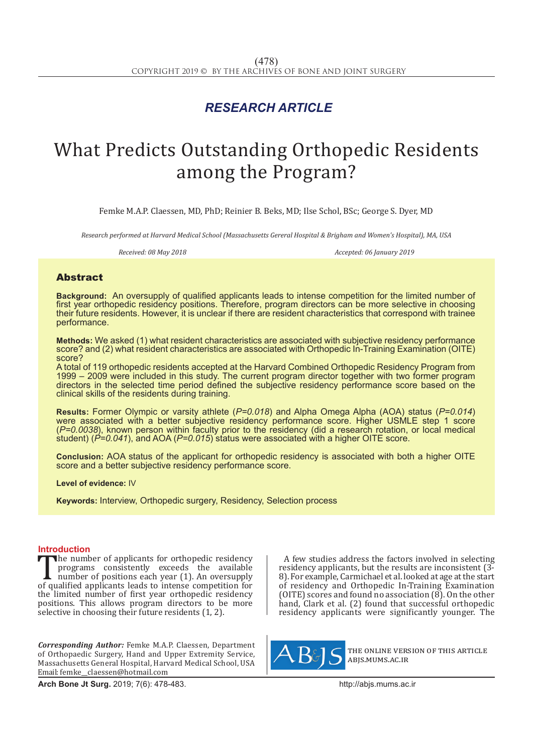## *RESEARCH ARTICLE*

# What Predicts Outstanding Orthopedic Residents among the Program?

Femke M.A.P. Claessen, MD, PhD; Reinier B. Beks, MD; Ilse Schol, BSc; George S. Dyer, MD

*Research performed at Harvard Medical School (Massachusetts Gereral Hospital & Brigham and Women's Hospital), MA, USA*

*Received: 08 May 2018 Accepted: 06 January 2019*

### Abstract

**Background:** An oversupply of qualified applicants leads to intense competition for the limited number of first year orthopedic residency positions. Therefore, program directors can be more selective in choosing their future residents. However, it is unclear if there are resident characteristics that correspond with trainee performance.

**Methods:** We asked (1) what resident characteristics are associated with subjective residency performance score? and (2) what resident characteristics are associated with Orthopedic In-Training Examination (OITE) score?

A total of 119 orthopedic residents accepted at the Harvard Combined Orthopedic Residency Program from 1999 – 2009 were included in this study. The current program director together with two former program directors in the selected time period defined the subjective residency performance score based on the clinical skills of the residents during training.

**Results:** Former Olympic or varsity athlete (*P=0.018*) and Alpha Omega Alpha (AOA) status (*P=0.014*) were associated with a better subjective residency performance score. Higher USMLE step 1 score (*P=0.0038*), known person within faculty prior to the residency (did a research rotation, or local medical student) (*P=0.041*), and AOA (*P=0.015*) status were associated with a higher OITE score.

**Conclusion:** AOA status of the applicant for orthopedic residency is associated with both a higher OITE score and a better subjective residency performance score.

**Level of evidence:** IV

**Keywords:** Interview, Orthopedic surgery, Residency, Selection process

**Introduction**<br>**The number of applicants for orthopedic residency** The number of applicants for orthopedic residency<br>programs consistently exceeds the available<br>number of positions each year (1). An oversupply<br>of qualified applicants leads to intense competition for<br>the limited number of programs consistently exceeds the available number of positions each year (1). An oversupply of qualified applicants leads to intense competition for the limited number of first year orthopedic residency positions. This allows program directors to be more selective in choosing their future residents (1, 2).

*Corresponding Author:* Femke M.A.P. Claessen, Department of Orthopaedic Surgery, Hand and Upper Extremity Service, Massachusetts General Hospital, Harvard Medical School, USA Email: femke\_\_claessen@hotmail.com

**Arch Bone Jt Surg.** 2019; 7(6): 478-483.http://abjs.mums.ac.ir

A few studies address the factors involved in selecting residency applicants, but the results are inconsistent (3- 8). For example, Carmichael et al. looked at age at the start of residency and Orthopedic In-Training Examination (OITE) scores and found no association  $(8)$ . On the other hand, Clark et al. (2) found that successful orthopedic residency applicants were significantly younger. The



the online version of this article abjs.mums.ac.ir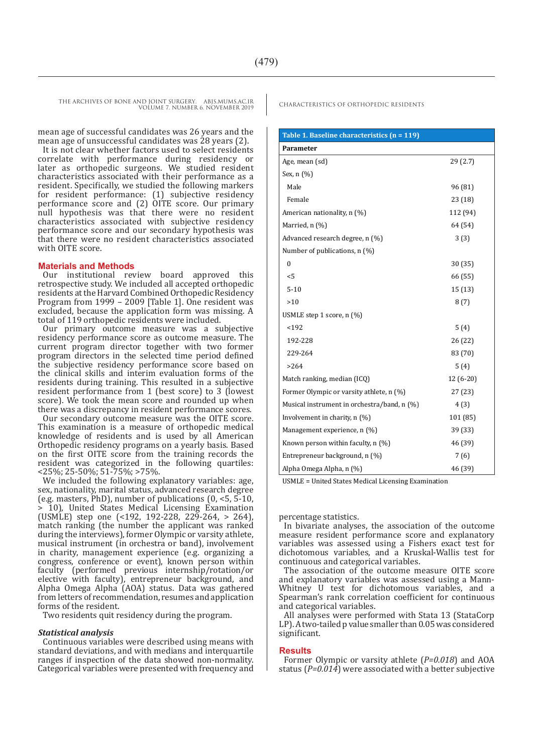THE ARCHIVES OF BONE AND JOINT SURGERY. ABJS.MUMS.AC.IR CHARACTERISTICS OF ORTHOPEDIC RESIDENTS VOLUME 7. NUMBER 6. NOVEMBER 2019

mean age of successful candidates was 26 years and the mean age of unsuccessful candidates was 28 years (2).

It is not clear whether factors used to select residents correlate with performance during residency or later as orthopedic surgeons. We studied resident characteristics associated with their performance as a resident. Specifically, we studied the following markers for resident performance: (1) subjective residency performance score and (2) OITE score. Our primary null hypothesis was that there were no resident characteristics associated with subjective residency performance score and our secondary hypothesis was that there were no resident characteristics associated with OITE score.

#### **Materials and Methods**

Our institutional review board approved this retrospective study. We included all accepted orthopedic residents at the Harvard Combined Orthopedic Residency Program from 1999 – 2009 [Table 1]. One resident was excluded, because the application form was missing. A total of 119 orthopedic residents were included.

Our primary outcome measure was a subjective residency performance score as outcome measure. The current program director together with two former program directors in the selected time period defined the subjective residency performance score based on the clinical skills and interim evaluation forms of the residents during training. This resulted in a subjective resident performance from 1 (best score) to 3 (lowest score). We took the mean score and rounded up when there was a discrepancy in resident performance scores.

Our secondary outcome measure was the OITE score. This examination is a measure of orthopedic medical knowledge of residents and is used by all American Orthopedic residency programs on a yearly basis. Based on the first OITE score from the training records the resident was categorized in the following quartiles: <25%; 25-50%; 51-75%; >75%.

We included the following explanatory variables: age, sex, nationality, marital status, advanced research degree (e.g. masters, PhD), number of publications (0, <5, 5-10, > 10), United States Medical Licensing Examination (USMLE) step one (<192, 192-228, 229-264, > 264), match ranking (the number the applicant was ranked during the interviews), former Olympic or varsity athlete, musical instrument (in orchestra or band), involvement in charity, management experience (e.g. organizing a congress, conference or event), known person within faculty (performed previous internship/rotation/or elective with faculty), entrepreneur background, and Alpha Omega Alpha (AOA) status. Data was gathered from letters of recommendation, resumes and application forms of the resident.

Two residents quit residency during the program.

#### *Statistical analysis*

Continuous variables were described using means with standard deviations, and with medians and interquartile ranges if inspection of the data showed non-normality. Categorical variables were presented with frequency and

| Table 1. Baseline characteristics (n = 119) |            |
|---------------------------------------------|------------|
| Parameter                                   |            |
| Age, mean (sd)                              | 29(2.7)    |
| Sex, $n$ $(\%)$                             |            |
| Male                                        | 96 (81)    |
| Female                                      | 23(18)     |
| American nationality, n (%)                 | 112 (94)   |
| Married, n (%)                              | 64 (54)    |
| Advanced research degree, n (%)             | 3(3)       |
| Number of publications, n (%)               |            |
| $\mathbf{0}$                                | 30(35)     |
| < 5                                         | 66 (55)    |
| $5 - 10$                                    | 15(13)     |
| >10                                         | 8(7)       |
| USMLE step 1 score, n (%)                   |            |
| < 192                                       | 5(4)       |
| 192-228                                     | 26 (22)    |
| 229-264                                     | 83 (70)    |
| >264                                        | 5(4)       |
| Match ranking, median (ICQ)                 | $12(6-20)$ |
| Former Olympic or varsity athlete, n (%)    | 27(23)     |
| Musical instrument in orchestra/band, n (%) | 4(3)       |
| Involvement in charity, n (%)               | 101 (85)   |
| Management experience, n (%)                | 39 (33)    |
| Known person within faculty, $n$ (%)        | 46 (39)    |
| Entrepreneur background, n (%)              | 7(6)       |
| Alpha Omega Alpha, n (%)                    | 46 (39)    |

USMLE = United States Medical Licensing Examination

percentage statistics.

In bivariate analyses, the association of the outcome measure resident performance score and explanatory variables was assessed using a Fishers exact test for dichotomous variables, and a Kruskal-Wallis test for continuous and categorical variables.

The association of the outcome measure OITE score and explanatory variables was assessed using a Mann-Whitney U test for dichotomous variables, and a Spearman's rank correlation coefficient for continuous and categorical variables.

All analyses were performed with Stata 13 (StataCorp LP). A two-tailed p value smaller than 0.05 was considered significant.

#### **Results**

Former Olympic or varsity athlete (*P=0.018*) and AOA status (*P=0.014*) were associated with a better subjective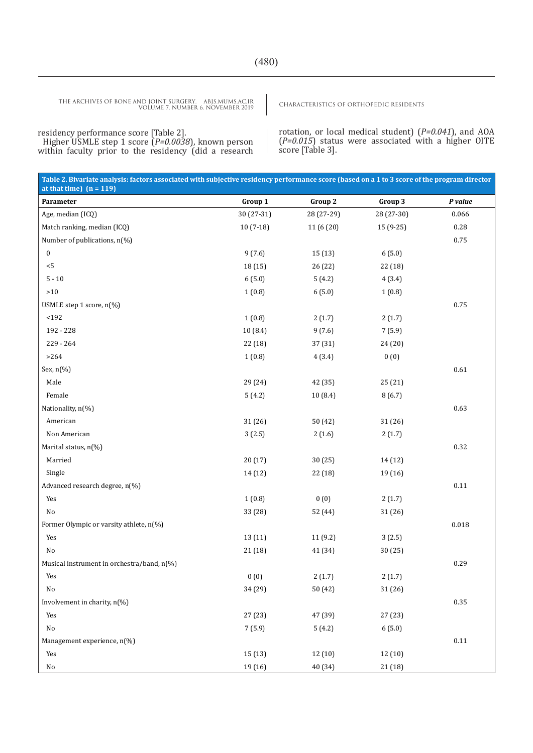CHARACTERISTICS OF ORTHOPEDIC RESIDENTS THE ARCHIVES OF BONE AND JOINT SURGERY. ABJS.MUMS.AC.IR VOLUME 7. NUMBER 6. NOVEMBER 2019

residency performance score [Table 2]. Higher USMLE step 1 score (*P=0.0038*), known person within faculty prior to the residency (did a research

rotation, or local medical student) (*P=0.041*), and AOA (*P=0.015*) status were associated with a higher OITE score [Table 3].

| Table 2. Bivariate analysis: factors associated with subjective residency performance score (based on a 1 to 3 score of the program director<br>at that time) $(n = 119)$ |            |            |            |          |
|---------------------------------------------------------------------------------------------------------------------------------------------------------------------------|------------|------------|------------|----------|
| Parameter                                                                                                                                                                 | Group 1    | Group 2    | Group 3    | P value  |
| Age, median (ICQ)                                                                                                                                                         | 30 (27-31) | 28 (27-29) | 28 (27-30) | 0.066    |
| Match ranking, median (ICQ)                                                                                                                                               | $10(7-18)$ | 11 (6 (20) | 15 (9-25)  | 0.28     |
| Number of publications, n(%)                                                                                                                                              |            |            |            | 0.75     |
| $\boldsymbol{0}$                                                                                                                                                          | 9(7.6)     | 15(13)     | 6(5.0)     |          |
| $< 5$                                                                                                                                                                     | 18 (15)    | 26 (22)    | 22 (18)    |          |
| $5$ - $10\,$                                                                                                                                                              | 6(5.0)     | 5(4.2)     | 4(3.4)     |          |
| ${>}10$                                                                                                                                                                   | 1(0.8)     | 6(5.0)     | 1(0.8)     |          |
| USMLE step 1 score, n(%)                                                                                                                                                  |            |            |            | 0.75     |
| $192$                                                                                                                                                                     | 1(0.8)     | 2(1.7)     | 2(1.7)     |          |
| 192 - 228                                                                                                                                                                 | 10(8.4)    | 9(7.6)     | 7(5.9)     |          |
| 229 - 264                                                                                                                                                                 | 22 (18)    | 37 (31)    | 24 (20)    |          |
| $>264$                                                                                                                                                                    | 1(0.8)     | 4(3.4)     | 0(0)       |          |
| Sex, n(%)                                                                                                                                                                 |            |            |            | $0.61\,$ |
| Male                                                                                                                                                                      | 29 (24)    | 42 (35)    | 25 (21)    |          |
| Female                                                                                                                                                                    | 5(4.2)     | 10(8.4)    | 8(6.7)     |          |
| Nationality, n(%)                                                                                                                                                         |            |            |            | 0.63     |
| American                                                                                                                                                                  | 31 (26)    | 50 (42)    | 31 (26)    |          |
| Non American                                                                                                                                                              | 3(2.5)     | 2(1.6)     | 2(1.7)     |          |
| Marital status, n(%)                                                                                                                                                      |            |            |            | 0.32     |
| Married                                                                                                                                                                   | 20(17)     | 30(25)     | 14 (12)    |          |
| Single                                                                                                                                                                    | 14 (12)    | 22 (18)    | 19 (16)    |          |
| Advanced research degree, n(%)                                                                                                                                            |            |            |            | 0.11     |
| Yes                                                                                                                                                                       | 1(0.8)     | 0(0)       | 2(1.7)     |          |
| No                                                                                                                                                                        | 33 (28)    | 52 (44)    | 31 (26)    |          |
| Former Olympic or varsity athlete, n(%)                                                                                                                                   |            |            |            | 0.018    |
| Yes                                                                                                                                                                       | 13 (11)    | 11(9.2)    | 3(2.5)     |          |
| No                                                                                                                                                                        | 21(18)     | 41 (34)    | 30(25)     |          |
| Musical instrument in orchestra/band, n(%)                                                                                                                                |            |            |            | 0.29     |
| Yes                                                                                                                                                                       | 0(0)       | 2(1.7)     | 2(1.7)     |          |
| No                                                                                                                                                                        | 34 (29)    | 50 (42)    | 31 (26)    |          |
| Involvement in charity, n(%)                                                                                                                                              |            |            |            | $0.35\,$ |
| Yes                                                                                                                                                                       | 27(23)     | 47 (39)    | 27 (23)    |          |
| $\rm No$                                                                                                                                                                  | 7(5.9)     | 5(4.2)     | 6(5.0)     |          |
| Management experience, n(%)                                                                                                                                               |            |            |            | $0.11\,$ |
| Yes                                                                                                                                                                       | 15(13)     | 12 (10)    | 12 (10)    |          |
| $\rm No$                                                                                                                                                                  | 19 (16)    | 40 (34)    | 21 (18)    |          |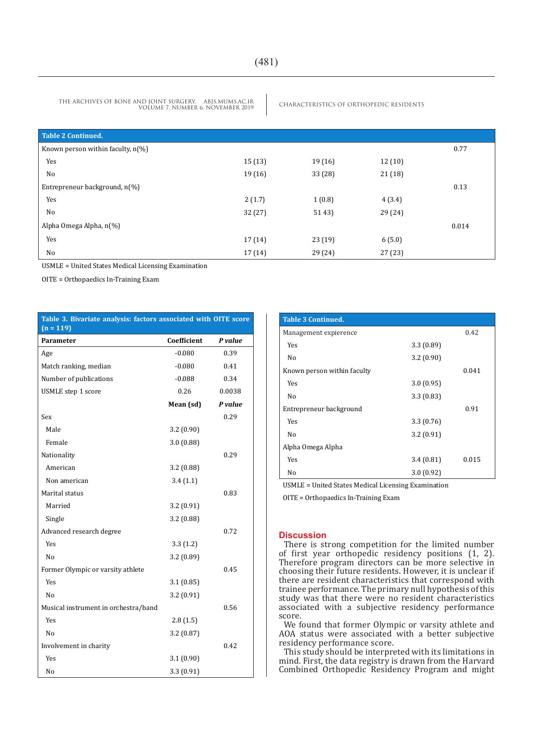THE ARCHIVES OF BONE AND JOINT SURGERY. ABJS.MUMS.AC.IR CHARACTERISTICS OF ORTHOPEDIC RESIDENTS VOLUME 7. NUMBER 6. NOVEMBER 2019

| Table 2 Continued.                   |        |         |         |       |
|--------------------------------------|--------|---------|---------|-------|
| Known person within faculty, $n(\%)$ |        |         |         | 0.77  |
| Yes                                  | 15(13) | 19(16)  | 12(10)  |       |
| No                                   | 19(16) | 33(28)  | 21(18)  |       |
| Entrepreneur background, n(%)        |        |         |         | 0.13  |
| Yes                                  | 2(1.7) | 1(0.8)  | 4(3.4)  |       |
| No                                   | 32(27) | 51 43)  | 29 (24) |       |
| Alpha Omega Alpha, n(%)              |        |         |         | 0.014 |
| Yes                                  | 17(14) | 23(19)  | 6(5.0)  |       |
| No                                   | 17(14) | 29 (24) | 27(23)  |       |

USMLE = United States Medical Licensing Examination

OITE = Orthopaedics In-Training Exam

#### **Table 3. Bivariate analysis: factors associated with OITE score (n = 119)**

| Parameter                            | Coefficient | P value |
|--------------------------------------|-------------|---------|
| Age                                  | $-0.080$    | 0.39    |
| Match ranking, median                | $-0.080$    | 0.41    |
| Number of publications               | $-0.088$    | 0.34    |
| USMLE step 1 score                   | 0.26        | 0.0038  |
|                                      | Mean (sd)   | P value |
| Sex                                  |             | 0.29    |
| Male                                 | 3.2(0.90)   |         |
| Female                               | 3.0(0.88)   |         |
| Nationality                          |             | 0.29    |
| American                             | 3.2(0.88)   |         |
| Non american                         | 3.4(1.1)    |         |
| Marital status                       |             | 0.83    |
| Married                              | 3.2(0.91)   |         |
| Single                               | 3.2(0.88)   |         |
| Advanced research degree             |             | 0.72    |
| Yes                                  | 3.3(1.2)    |         |
| No                                   | 3.2(0.89)   |         |
| Former Olympic or varsity athlete    |             | 0.45    |
| Yes                                  | 3.1(0.85)   |         |
| No                                   | 3.2(0.91)   |         |
| Musical instrument in orchestra/band |             | 0.56    |
| Yes                                  | 2.8(1.5)    |         |
| No                                   | 3.2(0.87)   |         |
| Involvement in charity               |             | 0.42    |
| Yes                                  | 3.1(0.90)   |         |
| No                                   | 3.3 (0.91)  |         |

| <b>Table 3 Continued.</b>   |           |       |
|-----------------------------|-----------|-------|
| Management expierence       |           | 0.42  |
| <b>Yes</b>                  | 3.3(0.89) |       |
| No                          | 3.2(0.90) |       |
| Known person within faculty |           | 0.041 |
| <b>Yes</b>                  | 3.0(0.95) |       |
| No                          | 3.3(0.83) |       |
| Entrepreneur background     |           | 0.91  |
| Yes                         | 3.3(0.76) |       |
| No                          | 3.2(0.91) |       |
| Alpha Omega Alpha           |           |       |
| <b>Yes</b>                  | 3.4(0.81) | 0.015 |
| No                          | 3.0(0.92) |       |
|                             |           |       |

USMLE = United States Medical Licensing Examination

OITE = Orthopaedics In-Training Exam

#### **Discussion**

There is strong competition for the limited number of first year orthopedic residency positions (1, 2). Therefore program directors can be more selective in choosing their future residents. However, it is unclear if there are resident characteristics that correspond with trainee performance. The primary null hypothesis of this study was that there were no resident characteristics associated with a subjective residency performance score.

We found that former Olympic or varsity athlete and AOA status were associated with a better subjective residency performance score.

This study should be interpreted with its limitations in mind. First, the data registry is drawn from the Harvard Combined Orthopedic Residency Program and might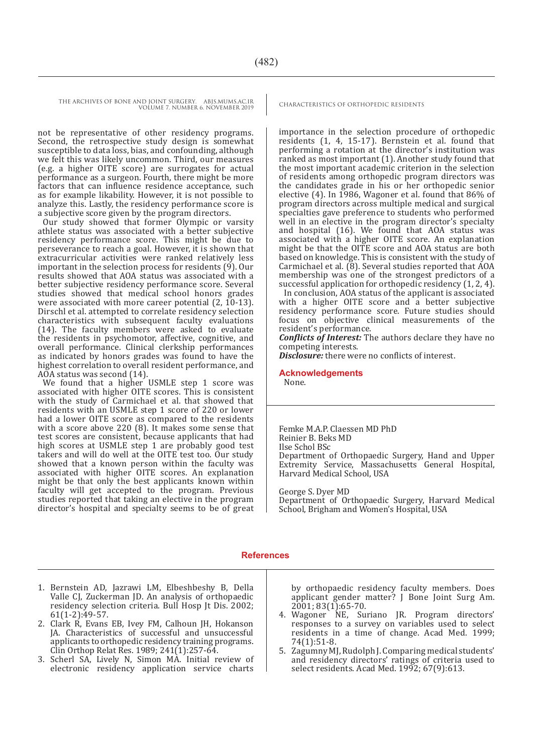THE ARCHIVES OF BONE AND JOINT SURGERY. ABJS.MUMS.AC.IR CHARACTERISTICS OF ORTHOPEDIC RESIDENTS

VOLUME 7. NUMBER 6. NOVEMBER 2019

not be representative of other residency programs. Second, the retrospective study design is somewhat susceptible to data loss, bias, and confounding, although we felt this was likely uncommon. Third, our measures (e.g. a higher OITE score) are surrogates for actual performance as a surgeon. Fourth, there might be more factors that can influence residence acceptance, such as for example likability. However, it is not possible to analyze this. Lastly, the residency performance score is a subjective score given by the program directors.

Our study showed that former Olympic or varsity athlete status was associated with a better subjective residency performance score. This might be due to perseverance to reach a goal. However, it is shown that extracurricular activities were ranked relatively less important in the selection process for residents (9). Our results showed that AOA status was associated with a better subjective residency performance score. Several studies showed that medical school honors grades were associated with more career potential (2, 10-13). Dirschl et al. attempted to correlate residency selection characteristics with subsequent faculty evaluations (14). The faculty members were asked to evaluate the residents in psychomotor, affective, cognitive, and overall performance. Clinical clerkship performances as indicated by honors grades was found to have the highest correlation to overall resident performance, and AOA status was second (14).

We found that a higher USMLE step 1 score was associated with higher OITE scores. This is consistent with the study of Carmichael et al. that showed that residents with an USMLE step 1 score of 220 or lower had a lower OITE score as compared to the residents with a score above 220 (8). It makes some sense that test scores are consistent, because applicants that had high scores at USMLE step 1 are probably good test takers and will do well at the OITE test too. Our study showed that a known person within the faculty was associated with higher OITE scores. An explanation might be that only the best applicants known within faculty will get accepted to the program. Previous studies reported that taking an elective in the program director's hospital and specialty seems to be of great

importance in the selection procedure of orthopedic residents (1, 4, 15-17). Bernstein et al. found that performing a rotation at the director's institution was ranked as most important (1). Another study found that the most important academic criterion in the selection of residents among orthopedic program directors was the candidates grade in his or her orthopedic senior elective (4). In 1986, Wagoner et al. found that 86% of program directors across multiple medical and surgical specialties gave preference to students who performed well in an elective in the program director's specialty and hospital (16). We found that AOA status was associated with a higher OITE score. An explanation might be that the OITE score and AOA status are both based on knowledge. This is consistent with the study of Carmichael et al. (8). Several studies reported that AOA membership was one of the strongest predictors of a successful application for orthopedic residency (1, 2, 4).

In conclusion, AOA status of the applicant is associated with a higher OITE score and a better subjective residency performance score. Future studies should focus on objective clinical measurements of the resident's performance.

*Conflicts of Interest:* The authors declare they have no competing interests.

*Disclosure:* there were no conflicts of interest.

#### **Acknowledgements**

None.

Femke M.A.P. Claessen MD PhD Reinier B. Beks MD Ilse Schol BSc Department of Orthopaedic Surgery, Hand and Upper Extremity Service, Massachusetts General Hospital, Harvard Medical School, USA

George S. Dyer MD

Department of Orthopaedic Surgery, Harvard Medical School, Brigham and Women's Hospital, USA

#### **References**

- 1. Bernstein AD, Jazrawi LM, Elbeshbeshy B, Della Valle CJ, Zuckerman JD. An analysis of orthopaedic residency selection criteria. Bull Hosp Jt Dis. 2002; 61(1-2):49-57.
- 2. Clark R, Evans EB, Ivey FM, Calhoun JH, Hokanson JA. Characteristics of successful and unsuccessful applicants to orthopedic residency training programs. Clin Orthop Relat Res. 1989;  $241(1):257-64$ .
- 3. Scherl SA, Lively N, Simon MA. Initial review of electronic residency application service charts

by orthopaedic residency faculty members. Does applicant gender matter? J Bone Joint Surg Am. 2001; 83(1):65-70.

- 4. Wagoner NE, Suriano JR. Program directors' responses to a survey on variables used to select residents in a time of change. Acad Med. 1999; 74(1):51-8.
- 5. Zagumny MJ, Rudolph J. Comparing medical students' and residency directors' ratings of criteria used to select residents. Acad Med. 1992; 67(9):613.